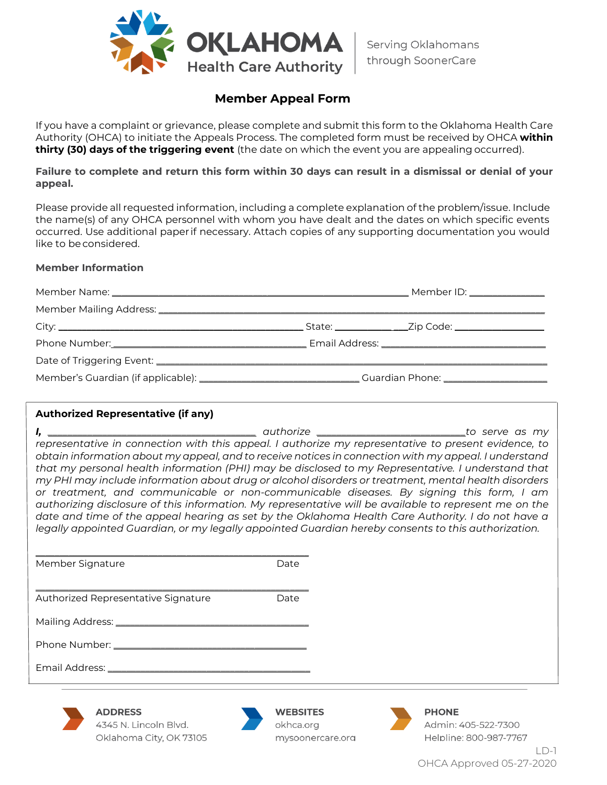

## **Member Appeal Form**

If you have a complaint or grievance, please complete and submit this form to the Oklahoma Health Care Authority (OHCA) to initiate the Appeals Process. The completed form must be received by OHCA **within thirty (30) days of the triggering event** (the date on which the event you are appealing occurred).

Failure to complete and return this form within 30 days can result in a dismissal or denial of your **appeal.**

Please provide all requested information, including a complete explanation of the problem/issue. Include the name(s) of any OHCA personnel with whom you have dealt and the dates on which specific events occurred. Use additional paper if necessary. Attach copies of any supporting documentation you would like to beconsidered.

#### **Member Information**

|  | Member ID: ______________ |
|--|---------------------------|
|  |                           |
|  |                           |
|  |                           |
|  |                           |
|  |                           |

| <b>Authorized Representative (if any)</b>                                                                                                                                                                                                                                                                                                                                                                                                                                                                                                                                                                                                                                                                                                                                                                                                    |                                                  |                                                               |  |
|----------------------------------------------------------------------------------------------------------------------------------------------------------------------------------------------------------------------------------------------------------------------------------------------------------------------------------------------------------------------------------------------------------------------------------------------------------------------------------------------------------------------------------------------------------------------------------------------------------------------------------------------------------------------------------------------------------------------------------------------------------------------------------------------------------------------------------------------|--------------------------------------------------|---------------------------------------------------------------|--|
| representative in connection with this appeal. I authorize my representative to present evidence, to<br>obtain information about my appeal, and to receive notices in connection with my appeal. I understand<br>that my personal health information (PHI) may be disclosed to my Representative. I understand that<br>my PHI may include information about drug or alcohol disorders or treatment, mental health disorders<br>or treatment, and communicable or non-communicable diseases. By signing this form, I am<br>authorizing disclosure of this information. My representative will be available to represent me on the<br>date and time of the appeal hearing as set by the Oklahoma Health Care Authority. I do not have a<br>legally appointed Guardian, or my legally appointed Guardian hereby consents to this authorization. |                                                  |                                                               |  |
| Member Signature                                                                                                                                                                                                                                                                                                                                                                                                                                                                                                                                                                                                                                                                                                                                                                                                                             | Date                                             |                                                               |  |
| Authorized Representative Signature                                                                                                                                                                                                                                                                                                                                                                                                                                                                                                                                                                                                                                                                                                                                                                                                          | Date                                             |                                                               |  |
|                                                                                                                                                                                                                                                                                                                                                                                                                                                                                                                                                                                                                                                                                                                                                                                                                                              |                                                  |                                                               |  |
|                                                                                                                                                                                                                                                                                                                                                                                                                                                                                                                                                                                                                                                                                                                                                                                                                                              |                                                  |                                                               |  |
|                                                                                                                                                                                                                                                                                                                                                                                                                                                                                                                                                                                                                                                                                                                                                                                                                                              |                                                  |                                                               |  |
| <b>ADDRESS</b><br>4345 N. Lincoln Blvd.<br>Oklahoma City, OK 73105                                                                                                                                                                                                                                                                                                                                                                                                                                                                                                                                                                                                                                                                                                                                                                           | <b>WEBSITES</b><br>okhca.org<br>mysoonercare.org | <b>PHONE</b><br>Admin: 405-522-7300<br>Helpline: 800-987-7767 |  |

 $\Box$ OHCA Approved 05-27-2020